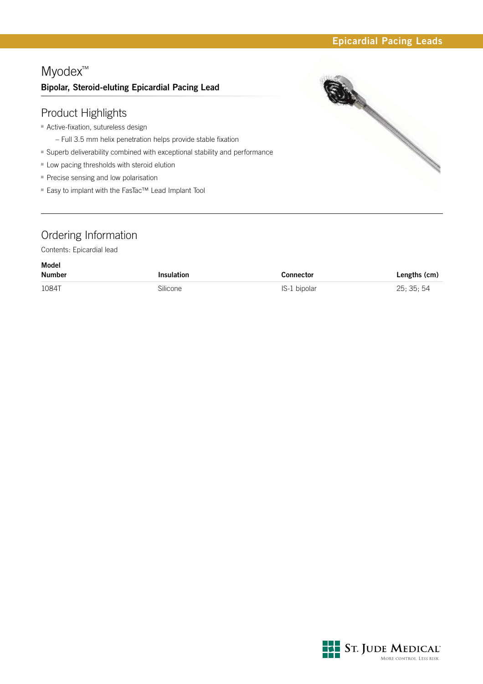## Myodex™ **Bipolar, Steroid-eluting Epicardial Pacing Lead**

### Product Highlights

- **Active-fixation, sutureless design** 
	- Full 3.5 mm helix penetration helps provide stable fixation
- Superb deliverability combined with exceptional stability and performance
- Low pacing thresholds with steroid elution
- **Precise sensing and low polarisation**
- Easy to implant with the FasTac™ Lead Implant Tool



### Ordering Information

Contents: Epicardial lead

| Model<br><b>Number</b> | <b>Insulation</b> | <b>Connector</b> | Lengths (cm) |
|------------------------|-------------------|------------------|--------------|
| 1084T                  | Silicone          | IS-1 bipolar     | 25: 35: 54   |